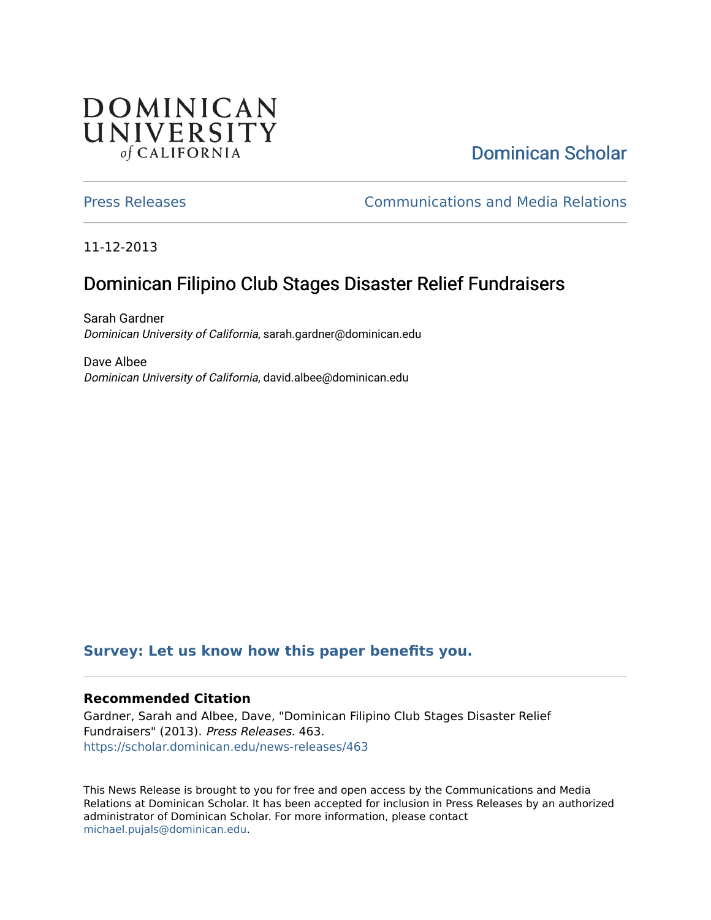## DOMINICAN UNIVERSITY of CALIFORNIA

# [Dominican Scholar](https://scholar.dominican.edu/)

[Press Releases](https://scholar.dominican.edu/news-releases) [Communications and Media Relations](https://scholar.dominican.edu/communications-media) 

11-12-2013

# Dominican Filipino Club Stages Disaster Relief Fundraisers

Sarah Gardner Dominican University of California, sarah.gardner@dominican.edu

Dave Albee Dominican University of California, david.albee@dominican.edu

#### **[Survey: Let us know how this paper benefits you.](https://dominican.libwizard.com/dominican-scholar-feedback)**

#### **Recommended Citation**

Gardner, Sarah and Albee, Dave, "Dominican Filipino Club Stages Disaster Relief Fundraisers" (2013). Press Releases. 463. [https://scholar.dominican.edu/news-releases/463](https://scholar.dominican.edu/news-releases/463?utm_source=scholar.dominican.edu%2Fnews-releases%2F463&utm_medium=PDF&utm_campaign=PDFCoverPages)

This News Release is brought to you for free and open access by the Communications and Media Relations at Dominican Scholar. It has been accepted for inclusion in Press Releases by an authorized administrator of Dominican Scholar. For more information, please contact [michael.pujals@dominican.edu.](mailto:michael.pujals@dominican.edu)